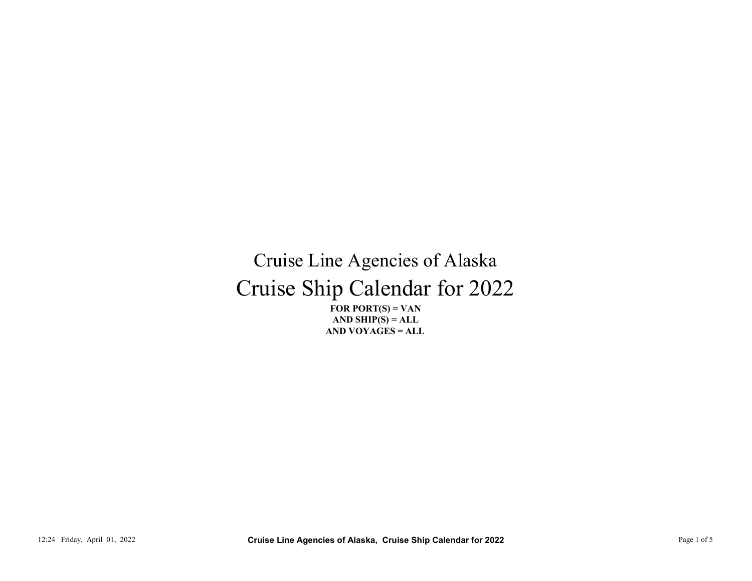## Cruise Ship Calendar for 2022 Cruise Line Agencies of Alaska 12:24 Friday, April 01, 2022<br>
12:24 Friday, April 01, 2022<br>
12:24 Friday, April 01, 2022<br>
12:24 Friday, April 01, 2022<br>
12:24 Friday, April 01, 2022<br>
12:24 Friday, April 01, 2022<br>
12:24 Friday, April 01, 2022<br>
12:24 Frida

FOR PORT $(S) = VAN$ AND VOYAGES = ALL AND SHIP $(S) = ALL$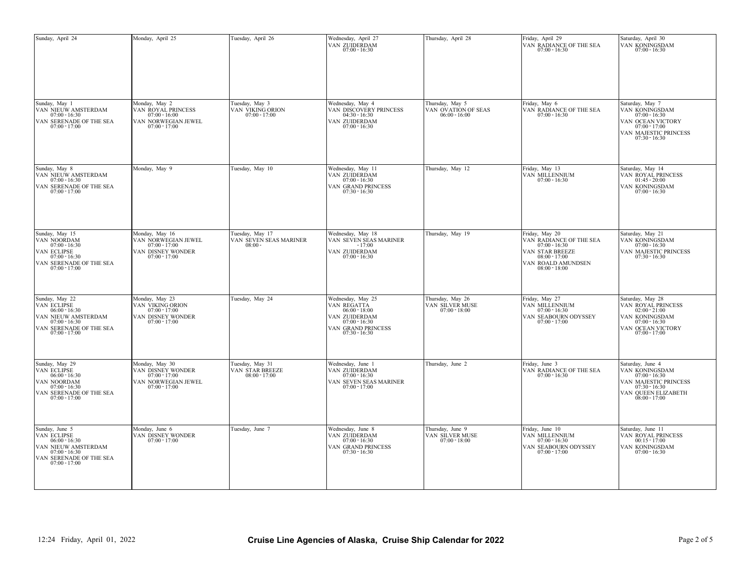| Sunday, April 24                                                                                                                         | Monday, April 25                                                                                 | Tuesday, April 26                                      | Wednesday, April 27<br>VAN ZUIDERDAM<br>07:00 - 16:30                                                                                           | Thursday, April 28                                        | Friday, April 29<br>VAN RADIANCE OF THE SEA<br>$07:00 - 16:30$                                                                           | Saturday, April 30<br>VAN KONINGSDAM<br>$07:00 - 16:30$                                                                                     |
|------------------------------------------------------------------------------------------------------------------------------------------|--------------------------------------------------------------------------------------------------|--------------------------------------------------------|-------------------------------------------------------------------------------------------------------------------------------------------------|-----------------------------------------------------------|------------------------------------------------------------------------------------------------------------------------------------------|---------------------------------------------------------------------------------------------------------------------------------------------|
| Sunday, May 1<br>VAN NIEUW AMSTERDAM<br>$07:00 - 16:30$<br>VAN SERENADE OF THE SEA<br>$07:00 - 17:00$                                    | Monday, May 2<br>VAN ROYAL PRINCESS<br>$07:00 - 16:00$<br>VAN NORWEGIAN JEWEL<br>$07:00 - 17:00$ | Tuesday, May 3<br>VAN VIKING ORION $07:00$ - 17:00     | Wednesday, May 4<br>VAN DISCOVERY PRINCESS<br>$04:30 - 16:30$<br>VAN ZUIDERDAM<br>$07:00 - 16:30$                                               | Thursday, May 5<br>VAN OVATION OF SEAS<br>$06:00 - 16:00$ | Friday, May 6<br>VAN RADIANCE OF THE SEA<br>$07:00 - 16:30$                                                                              | Saturday, May 7<br>VAN KONINGSDAM<br>$07:00 - 16:30$<br>VAN OCEAN VICTORY<br>$07:00 - 17:00$<br>VAN MAJESTIC PRINCESS<br>$07:30 - 16:30$    |
| Sunday, May 8<br>VAN NIEUW AMSTERDAM<br>$07:00 - 16:30$<br>VAN SERENADE OF THE SEA<br>$07:00 - 17:00$                                    | Monday, May 9                                                                                    | Tuesday, May 10                                        | Wednesday, May 11<br>VAN ZUIDERDAM<br>$07:00 - 16:30$<br>VAN GRAND PRINCESS<br>$07:30 - 16:30$                                                  | Thursday, May 12                                          | Friday, May 13<br>VAN MILLENNIUM<br>$07:00 - 16:30$                                                                                      | Saturday, May 14<br>VAN ROYAL PRINCESS $01:45 - 20:00$<br>VAN KONINGSDAM<br>$07:00 - 16:30$                                                 |
| Sunday, May 15<br>VAN NOORDAM $07:00 - 16:30$<br>VAN ECLIPSE<br>$07:00 - 16:30$<br>VAN SERENADE OF THE SEA<br>$07:00 - 17:00$            | Monday, May 16<br>VAN NORWEGIAN JEWEL $07:00 - 17:00$<br>VAN DISNEY WONDER<br>$07:00 - 17:00$    | Tuesday, May 17<br>VAN SEVEN SEAS MARINER<br>$08:00 -$ | Wednesday, May 18<br>VAN SEVEN SEAS MARINER<br>- 17:00<br>VAN ZUIDERDAM $07:00$ - $16:30$                                                       | Thursday, May 19                                          | Friday, May 20<br>VAN RADIANCE OF THE SEA $07:00$ - $16:30$<br>VAN STAR BREEZE $08:00$ - $17:00$<br>VAN ROALD AMUNDSEN $08:00$ - $18:00$ | Saturday, May 21<br>VAN KONINGSDAM<br>$07:00 - 16:30$<br>VAN MAJESTIC PRINCESS $07:30 - 16:30$                                              |
| Sunday, May 22<br>VAN ECLIPSE<br>$06:00 - 16:30$<br>VAN NIEUW AMSTERDAM<br>$07:00 - 16:30$<br>VAN SERENADE OF THE SEA<br>$07:00 - 17:00$ | Monday, May 23<br>VAN VIKING ORION<br>$07:00 - 17:00$<br>VAN DISNEY WONDER<br>$07:00 - 17:00$    | Tuesday, May 24                                        | Wednesday, May 25<br>VAN REGATTA $06\mathord:00$ - $18\mathord:00$<br>VAN ZUIDERDAM<br>$07:00 - 16:30$<br>VAN GRAND PRINCESS<br>$07:30 - 16:30$ | Thursday, May 26<br>VAN SILVER MUSE<br>$07:00 - 18:00$    | Friday, May 27<br>VAN MILLENNIUM<br>$07:00 - 16:30$<br>VAN SEABOURN ODYSSEY<br>$07:00 - 17:00$                                           | Saturday, May 28<br>VAN ROYAL PRINCESS<br>$02:00 - 21:00$<br>VAN KONINGSDAM<br>$07:00 - 16:30$<br>VAN OCEAN VICTORY<br>$07:00 - 17:00$      |
| Sunday, May 29<br>VAN ECLIPSE<br>$06:00 - 16:30$<br>VAN NOORDAM<br>$07:00 - 16:30$<br>VAN SERENADE OF THE SEA<br>$07:00 - 17:00$         | Monday, May 30<br>VAN DISNEY WONDER<br>$07:00 - 17:00$<br>VAN NORWEGIAN JEWEL<br>$07:00 - 17:00$ | Tuesday, May 31<br>VAN STAR BREEZE<br>$08:00 - 17:00$  | Wednesday, June 1<br>VAN ZUIDERDAM<br>$07:00 - 16:30$<br>VAN SEVEN SEAS MARINER<br>$07:00 - 17:00$                                              | Thursday, June 2                                          | Friday, June 3<br>VAN RADIANCE OF THE SEA<br>$07:00 - 16:30$                                                                             | Saturday, June 4<br>VAN KONINGSDAM<br>$07:00 - 16:30$<br>VAN MAJESTIC PRINCESS<br>$07:30 - 16:30$<br>VAN QUEEN ELIZABETH<br>$08:00 - 17:00$ |
| Sunday, June 5<br>VAN ECLIPSE<br>$06:00 - 16:30$<br>VAN NIEUW AMSTERDAM<br>$07:00 - 16:30$<br>VAN SERENADE OF THE SEA $07:00$ - $17:00$  | Monday, June 6<br>VAN DISNEY WONDER<br>$07:00 - 17:00$                                           | Tuesday, June 7                                        | Wednesday, June 8<br>VAN ZUIDERDAM<br>$07:00 - 16:30$<br>VAN GRAND PRINCESS<br>$07:30 - 16:30$                                                  | Thursday, June 9<br>VAN SILVER MUSE<br>$07:00 - 18:00$    | Friday, June 10<br>VAN MILLENNIUM<br>$07:00 - 16:30$<br>VAN SEABOURN ODYSSEY<br>$07:00 - 17:00$                                          | Saturday, June 11<br>VAN ROYAL PRINCESS<br>$00:15 - 17:00$<br>VAN KONINGSDAM<br>$07:00 - 16:30$                                             |
|                                                                                                                                          |                                                                                                  |                                                        |                                                                                                                                                 |                                                           |                                                                                                                                          |                                                                                                                                             |
| 12:24 Friday, April 01, 2022                                                                                                             |                                                                                                  |                                                        | Cruise Line Agencies of Alaska, Cruise Ship Calendar for 2022                                                                                   |                                                           |                                                                                                                                          | Page 2 of 5                                                                                                                                 |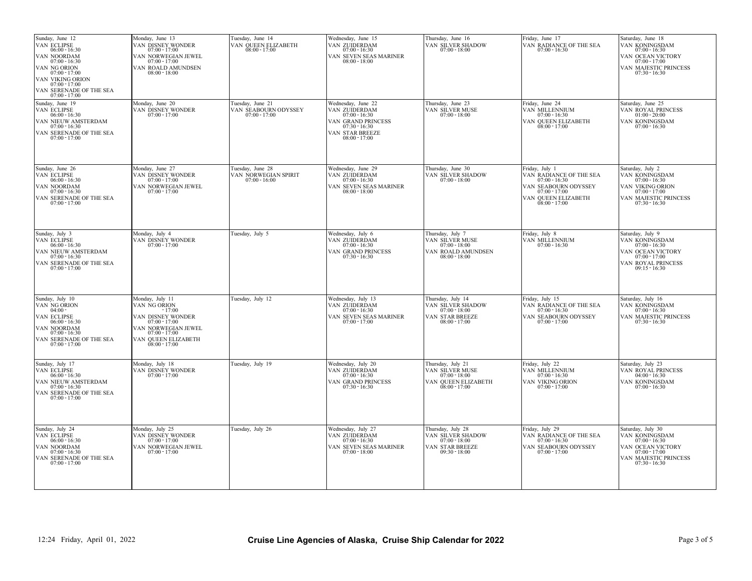| Sunday, June 12<br>VAN ECLIPSE<br>$06:00 - 16:30$<br>VAN NOORDAM<br>$07:00 - 16:30$<br>VAN NG ORION<br>$07:00 - 17:00$<br>VAN VIKING ORION<br>$07:00 - 17:00$<br>VAN SERENADE OF THE SEA<br>$07:00 - 17:00$ | Monday, June 13<br>VAN DISNEY WONDER<br>$07:00 - 17:00$<br>VAN NORWEGIAN JEWEL<br>$07:00 - 17:00$<br>VAN ROALD AMUNDSEN<br>$08:00 - 18:00$                              | Tuesday, June 14<br>VAN QUEEN ELIZABETH<br>08:00 - 17:00      | Wednesday, June 15<br>VAN ZUIDERDAM<br>$07:00 - 16:30$<br>VAN SEVEN SEAS MARINER<br>$08:00 - 18:00$                                   | Thursday, June 16<br>VAN SILVER SHADOW<br>$07:00 - 18:00$                                         | Friday, June 17<br>VAN RADIANCE OF THE SEA<br>$07:00 - 16:30$                                                                                     | Saturday, June 18<br>VAN KONINGSDAM<br>$07:00 - 16:30$<br>VAN OCEAN VICTORY<br>$07:00 - 17:00$<br>VAN MAJESTIC PRINCESS<br>$07:30 - 16:30$ |
|-------------------------------------------------------------------------------------------------------------------------------------------------------------------------------------------------------------|-------------------------------------------------------------------------------------------------------------------------------------------------------------------------|---------------------------------------------------------------|---------------------------------------------------------------------------------------------------------------------------------------|---------------------------------------------------------------------------------------------------|---------------------------------------------------------------------------------------------------------------------------------------------------|--------------------------------------------------------------------------------------------------------------------------------------------|
| Sunday, June 19<br>VAN ECLIPSE<br>$06:00 - 16:30$<br>VAN NIEUW AMSTERDAM<br>$07:00 - 16:30$<br>VAN SERENADE OF THE SEA<br>$07:00 - 17:00$                                                                   | Monday, June 20<br>VAN DISNEY WONDER<br>$07:00 - 17:00$                                                                                                                 | Tuesday, June 21<br>VAN SEABOURN ODYSSEY<br>07:00 - 17:00     | Wednesday, June 22<br>VAN ZUIDERDAM<br>$07:00 - 16:30$<br>VAN GRAND PRINCESS<br>$07:30 - 16:30$<br>VAN STAR BREEZE<br>$08:00 - 17:00$ | Thursday, June 23<br><b>VAN SILVER MUSE</b><br>07:00 - 18:00                                      | Friday, June 24<br>VAN MILLENNIUM<br>$07:00 - 16:30$<br>VAN QUEEN ELIZABETH<br>$08:00 - 17:00$                                                    | Saturday, June 25<br>VAN ROYAL PRINCESS<br>$01:00 - 20:00$<br>VAN KONINGSDAM<br>$07:00 - 16:30$                                            |
| Sunday, June 26<br>VAN ECLIPSE<br>$06:00 - 16:30$<br>VAN NOORDAM<br>$07:00 - 16:30$<br>VAN SERENADE OF THE SEA<br>$07:00 - 17:00$                                                                           | Monday, June 27<br>VAN DISNEY WONDER<br>$07:00 - 17:00$<br>VAN NORWEGIAN JEWEL<br>$07:00 - 17:00$                                                                       | Tuesday, June 28<br>VAN NORWEGIAN SPIRIT<br>$07:00 - 16:00$   | Wednesday, June 29<br>VAN ZUIDERDAM<br>$07:00 - 16:30$<br>VAN SEVEN SEAS MARINER<br>$08:00 - 18:00$                                   | Thursday, June 30<br>VAN SILVER SHADOW<br>$07:00 - 18:00$                                         | Friday, July 1<br>VAN RADIANCE OF THE SEA<br>$07:00 - 16:30$<br>VAN SEABOURN ODYSSEY<br>$07:00 - 17:00$<br>VAN QUEEN ELIZABETH<br>$08:00 - 17:00$ | Saturday, July 2<br>VAN KONINGSDAM<br>$07:00 - 16:30$<br>VAN VIKING ORION<br>$07:00 - 17:00$<br>VAN MAJESTIC PRINCESS<br>$07:30 - 16:30$   |
| Sunday, July 3<br>VAN ECLIPSE<br>$06:00 - 16:30$<br>VAN NIEUW AMSTERDAM<br>$07:00 - 16:30$<br>VAN SERENADE OF THE SEA<br>$07:00 - 17:00$                                                                    | Monday, July 4<br>VAN DISNEY WONDER<br>$07:00 - 17:00$                                                                                                                  | Tuesday, July 5                                               | Wednesday, July 6<br>VAN ZUIDERDAM<br>$07:00 - 16:30$<br>VAN GRAND PRINCESS<br>$07:30 - 16:30$                                        | Thursday, July 7<br>VAN SILVER MUSE<br>$07:00 - 18:00$<br>VAN ROALD AMUNDSEN<br>$08:00 - 18:00$   | Friday, July 8<br>VAN MILLENNIUM<br>$07:00 - 16:30$                                                                                               | Saturday, July 9<br>VAN KONINGSDAM<br>$07:00 - 16:30$<br>VAN OCEAN VICTORY<br>$07:00 - 17:00$<br>VAN ROYAL PRINCESS<br>$09:15 - 16:30$     |
| Sunday, July 10<br>VAN NG ORION<br>$04:00 -$<br>VAN ECLIPSE<br>$06:00 - 16:30$<br>VAN NOORDAM<br>$07:00 - 16:30$<br>VAN SERENADE OF THE SEA<br>$07:00 - 17:00$                                              | Monday, July 11<br>VAN NG ORION<br>$-17:00$<br>VAN DISNEY WONDER<br>$07:00 - 17:00$<br>VAN NORWEGIAN JEWEL<br>$07:00 - 17:00$<br>VAN QUEEN ELIZABETH<br>$08:00 - 17:00$ | Tuesday, July 12                                              | Wednesday, July 13<br>VAN ZUIDERDAM<br>$07:00 - 16:30$<br>VAN SEVEN SEAS MARINER<br>$07:00 - 17:00$                                   | Thursday, July 14<br>VAN SILVER SHADOW<br>$07:00 - 18:00$<br>VAN STAR BREEZE<br>$08:00 - 17:00$   | Friday, July 15<br>VAN RADIANCE OF THE SEA<br>$07:00 - 16:30$<br>VAN SEABOURN ODYSSEY<br>$07:00 - 17:00$                                          | Saturday, July 16<br>VAN KONINGSDAM<br>$07:00 - 16:30$<br>VAN MAJESTIC PRINCESS<br>$07:30 - 16:30$                                         |
| Sunday, July 17<br>VAN ECLIPSE<br>$06:00 - 16:30$<br>VAN NIEUW AMSTERDAM<br>$07:00 - 16:30$<br>VAN SERENADE OF THE SEA<br>$07:00 - 17:00$                                                                   | Monday, July 18<br>VAN DISNEY WONDER<br>$07:00 - 17:00$                                                                                                                 | Tuesday, July 19                                              | Wednesday, July 20<br>VAN ZUIDERDAM $07:00 - 16:30$<br>VAN GRAND PRINCESS<br>$07:30 - 16:30$                                          | Thursday, July 21<br>VAN SILVER MUSE<br>$07:00 - 18:00$<br>VAN QUEEN ELIZABETH<br>$08:00 - 17:00$ | Friday, July 22<br>VAN MILLENNIUM<br>$07:00 - 16:30$<br>VAN VIKING ORION<br>$07:00 - 17:00$                                                       | Saturday, July 23<br>VAN ROYAL PRINCESS $04:00$ - $16:30$<br>VAN KONINGSDAM<br>$07:00 - 16:30$                                             |
| Sunday, July 24<br>VAN ECLIPSE<br>$06:00 - 16:30$<br>VAN NOORDAM<br>$07:00 - 16:30$<br>VAN SERENADE OF THE SEA<br>$07:00 - 17:00$                                                                           | Monday, July 25<br>VAN DISNEY WONDER<br>$07:00 - 17:00$<br>VAN NORWEGIAN JEWEL<br>$07:00 - 17:00$                                                                       | Tuesday, July 26                                              | Wednesday, July 27<br>VAN ZUIDERDAM<br>$07:00 - 16:30$<br>VAN SEVEN SEAS MARINER<br>$07:00 - 18:00$                                   | Thursday, July 28<br>VAN SILVER SHADOW<br>$07:00 - 18:00$<br>VAN STAR BREEZE<br>$09:30 - 18:00$   | Friday, July 29<br>VAN RADIANCE OF THE SEA<br>$07:00 - 16:30$<br>VAN SEABOURN ODYSSEY<br>$07:00 - 17:00$                                          | Saturday, July 30<br>VAN KONINGSDAM<br>$07:00 - 16:30$<br>VAN OCEAN VICTORY<br>$07:00 - 17:00$<br>VAN MAJESTIC PRINCESS<br>$07:30 - 16:30$ |
|                                                                                                                                                                                                             |                                                                                                                                                                         |                                                               |                                                                                                                                       |                                                                                                   |                                                                                                                                                   |                                                                                                                                            |
| 12:24 Friday, April 01, 2022                                                                                                                                                                                |                                                                                                                                                                         | Cruise Line Agencies of Alaska, Cruise Ship Calendar for 2022 |                                                                                                                                       |                                                                                                   |                                                                                                                                                   | Page 3 of 5                                                                                                                                |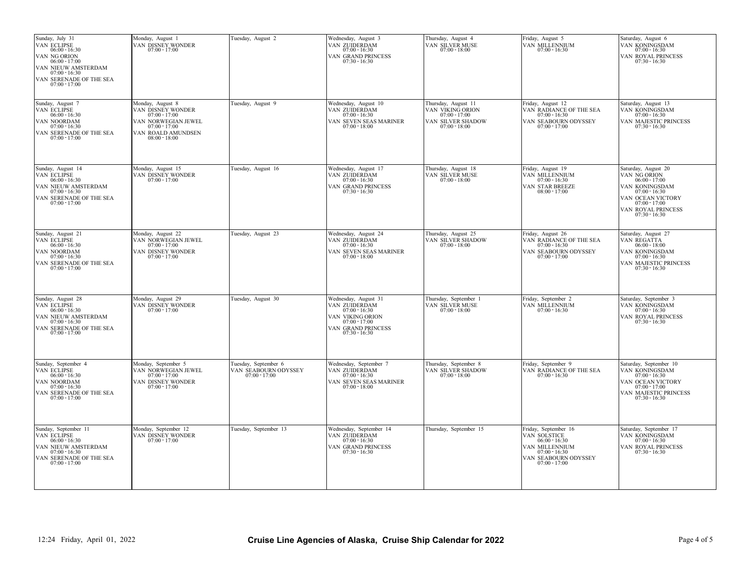| Sunday, July 31<br>VAN ECLIPSE<br>$06:00 - 16:30$<br>VAN NG ORION<br>$06:00 - 17:00$<br>VAN NIEUW AMSTERDAM<br>$07:00 - 16:30$<br>VAN SERENADE OF THE SEA<br>$07:00 - 17:00$ | Monday, August 1<br>VAN DISNEY WONDER<br>$07:00 - 17:00$                                                                                      | Tuesday, August 2                                               | Wednesday, August 3<br>VAN ZUIDERDAM<br>$07:00 - 16:30$<br>VAN GRAND PRINCESS<br>$07:30 - 16:30$                                         | Thursday, August 4<br>VAN SILVER MUSE<br>$07:00 - 18:00$                                           | Friday, August 5<br>VAN MILLENNIUM<br>$07:00 - 16:30$                                                                                   | Saturday, August 6<br>VAN KONINGSDAM<br>$07:00 - 16:30$<br>VAN ROYAL PRINCESS<br>$07:30 - 16:30$                                                                             |
|------------------------------------------------------------------------------------------------------------------------------------------------------------------------------|-----------------------------------------------------------------------------------------------------------------------------------------------|-----------------------------------------------------------------|------------------------------------------------------------------------------------------------------------------------------------------|----------------------------------------------------------------------------------------------------|-----------------------------------------------------------------------------------------------------------------------------------------|------------------------------------------------------------------------------------------------------------------------------------------------------------------------------|
| Sunday, August 7<br>VAN ECLIPSE<br>$06:00 - 16:30$<br>VAN NOORDAM<br>$07:00 - 16:30$<br>VAN SERENADE OF THE SEA<br>$07:00 - 17:00$                                           | Monday, August 8<br>VAN DISNEY WONDER<br>$07:00 - 17:00$<br>VAN NORWEGIAN JEWEL<br>$07:00 - 17:00$<br>VAN ROALD AMUNDSEN<br>$08:00$ - $18:00$ | Tuesday, August 9                                               | Wednesday, August 10<br>VAN ZUIDERDAM<br>$07:00 - 16:30$<br>VAN SEVEN SEAS MARINER<br>$07:00 - 18:00$                                    | Thursday, August 11<br>VAN VIKING ORION<br>$07:00 - 17:00$<br>VAN SILVER SHADOW<br>$07:00 - 18:00$ | Friday, August 12<br>VAN RADIANCE OF THE SEA $07:00 - 16:30$<br>VAN SEABOURN ODYSSEY<br>$07:00 - 17:00$                                 | Saturday, August 13<br>VAN KONINGSDAM<br>$07:00 - 16:30$<br>VAN MAJESTIC PRINCESS<br>$07:30 - 16:30$                                                                         |
| Sunday, August 14<br>VAN ECLIPSE<br>$06:00 - 16:30$<br>VAN NIEUW AMSTERDAM<br>$07:00 - 16:30$<br>VAN SERENADE OF THE SEA<br>$07:00 - 17:00$                                  | Monday, August 15<br>VAN DISNEY WONDER<br>$07:00 - 17:00$                                                                                     | Tuesday, August 16                                              | Wednesday, August 17<br>VAN ZUIDERDAM<br>$07:00 - 16:30$<br>VAN GRAND PRINCESS<br>$07:30 - 16:30$                                        | Thursday, August 18<br>VAN SILVER MUSE<br>$07:00 - 18:00$                                          | Friday, August 19<br>VAN MILLENNIUM<br>$07:00 - 16:30$<br>VAN STAR BREEZE<br>$08:00 - 17:00$                                            | Saturday, August 20<br>VAN NG ORION<br>$06:00 - 17:00$<br>VAN KONINGSDAM<br>$07:00 - 16:30$<br>VAN OCEAN VICTORY<br>$07:00 - 17:00$<br>VAN ROYAL PRINCESS<br>$07:30 - 16:30$ |
| Sunday, August 21<br>VAN ECLIPSE<br>$06:00 - 16:30$<br>VAN NOORDAM<br>$07:00 - 16:30$<br>VAN SERENADE OF THE SEA<br>$07:00 - 17:00$                                          | Monday, August 22<br>VAN NORWEGIAN JEWEL<br>$07:00 - 17:00$<br>VAN DISNEY WONDER<br>$07:00 - 17:00$                                           | Tuesday, August 23                                              | Wednesday, August 24<br>VAN ZUIDERDAM<br>$07:00 - 16:30$<br>VAN SEVEN SEAS MARINER<br>$07:00 - 18:00$                                    | Thursday, August 25<br>VAN SILVER SHADOW<br>$07:00 - 18:00$                                        | Friday, August 26<br>VAN RADIANCE OF THE SEA<br>$07:00 - 16:30$<br>VAN SEABOURN ODYSSEY<br>$07:00 - 17:00$                              | Saturday, August 27<br>VAN REGATTA<br>$06:00 - 18:00$<br>VAN KONINGSDAM<br>$07:00 - 16:30$<br>VAN MAJESTIC PRINCESS<br>$07:30 - 16:30$                                       |
| Sunday, August 28<br>VAN ECLIPSE<br>$06:00 - 16:30$<br>VAN NIEUW AMSTERDAM<br>$07:00 - 16:30$<br>VAN SERENADE OF THE SEA<br>$07:00 - 17:00$                                  | Monday, August 29<br>VAN DISNEY WONDER<br>$07:00 - 17:00$                                                                                     | Tuesday, August 30                                              | Wednesday, August 31<br>VAN ZUIDERDAM<br>$07:00 - 16:30$<br>VAN VIKING ORION<br>$07:00 - 17:00$<br>VAN GRAND PRINCESS<br>$07:30 - 16:30$ | Thursday, September 1<br>VAN SILVER MUSE<br>$07:00 - 18:00$                                        | Friday, September 2<br>VAN MILLENNIUM<br>$07:00 - 16:30$                                                                                | Saturday, September 3<br>VAN KONINGSDAM<br>$07:00 - 16:30$<br>VAN ROYAL PRINCESS<br>$07:30 - 16:30$                                                                          |
| Sunday, September 4<br>VAN ECLIPSE<br>$06:00 - 16:30$<br>VAN NOORDAM<br>$07:00 - 16:30$<br>VAN SERENADE OF THE SEA<br>$07:00 - 17:00$                                        | Monday, September 5<br>VAN NORWEGIAN JEWEL<br>$07:00 - 17:00$<br>VAN DISNEY WONDER<br>$07:00 - 17:00$                                         | Tuesday, September 6<br>VAN SEABOURN ODYSSEY<br>$07:00 - 17:00$ | Wednesday, September 7<br>VAN ZUIDERDAM $07:00 - 16:30$<br>VAN SEVEN SEAS MARINER<br>$07:00 - 18:00$                                     | Thursday, September 8<br>VAN SILVER SHADOW 07:00 - 18:00                                           | riday, September 9<br>VAN RADIANCE OF THE SEA $07:00$ - $16:30$                                                                         | Saturday, September 10<br>VAN KONINGSDAM<br>$07:00 - 16:30$<br>VAN OCEAN VICTORY<br>$07:00 - 17:00$<br>VAN MAJESTIC PRINCESS $07:30 - 16:30$                                 |
| Sunday, September 11<br>VAN ECLIPSE<br>$06:00 - 16:30$<br>VAN NIEUW AMSTERDAM<br>$07:00 - 16:30$<br>VAN SERENADE OF THE SEA<br>$07:00 - 17:00$                               | Monday, September 12<br>VAN DISNEY WONDER<br>$07:00 - 17:00$                                                                                  | Tuesday, September 13                                           | Wednesday, September 14<br>VAN ZUIDERDAM<br>$07:00 - 16:30$<br>VAN GRAND PRINCESS<br>$07:30 - 16:30$                                     | Thursday, September 15                                                                             | Friday, September 16<br>VAN SOLSTICE<br>$06:00 - 16:30$<br>VAN MILLENNIUM<br>$07:00 - 16:30$<br>VAN SEABOURN ODYSSEY<br>$07:00 - 17:00$ | Saturday, September 17<br>VAN KONINGSDAM<br>$07:00 - 16:30$<br>VAN ROYAL PRINCESS<br>$07:30 - 16:30$                                                                         |
|                                                                                                                                                                              |                                                                                                                                               |                                                                 |                                                                                                                                          |                                                                                                    |                                                                                                                                         |                                                                                                                                                                              |
| 12:24 Friday, April 01, 2022                                                                                                                                                 |                                                                                                                                               |                                                                 | Cruise Line Agencies of Alaska, Cruise Ship Calendar for 2022                                                                            |                                                                                                    |                                                                                                                                         | Page 4 of 5                                                                                                                                                                  |